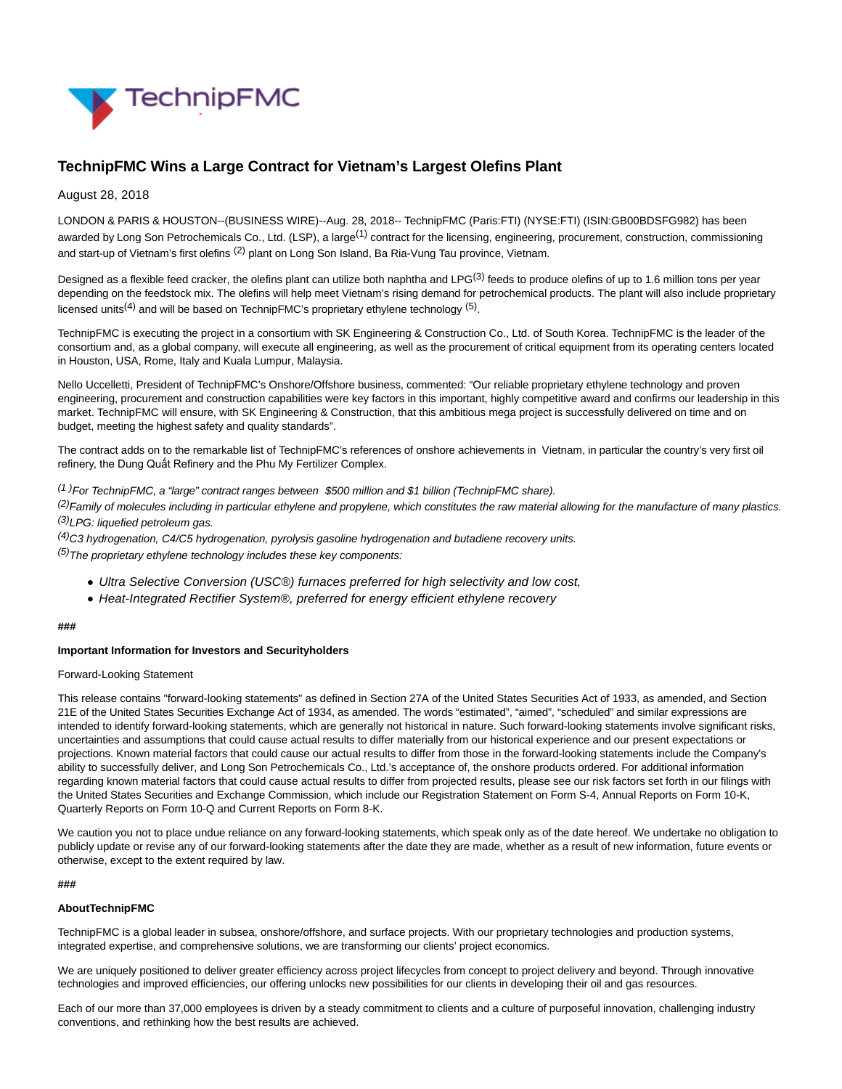

# **TechnipFMC Wins a Large Contract for Vietnam's Largest Olefins Plant**

### August 28, 2018

LONDON & PARIS & HOUSTON--(BUSINESS WIRE)--Aug. 28, 2018-- TechnipFMC (Paris:FTI) (NYSE:FTI) (ISIN:GB00BDSFG982) has been awarded by Long Son Petrochemicals Co., Ltd. (LSP), a large<sup>(1)</sup> contract for the licensing, engineering, procurement, construction, commissioning and start-up of Vietnam's first olefins <sup>(2)</sup> plant on Long Son Island, Ba Ria-Vung Tau province, Vietnam.

Designed as a flexible feed cracker, the olefins plant can utilize both naphtha and LPG<sup>(3)</sup> feeds to produce olefins of up to 1.6 million tons per year depending on the feedstock mix. The olefins will help meet Vietnam's rising demand for petrochemical products. The plant will also include proprietary licensed units<sup>(4)</sup> and will be based on TechnipFMC's proprietary ethylene technology  $(5)$ .

TechnipFMC is executing the project in a consortium with SK Engineering & Construction Co., Ltd. of South Korea. TechnipFMC is the leader of the consortium and, as a global company, will execute all engineering, as well as the procurement of critical equipment from its operating centers located in Houston, USA, Rome, Italy and Kuala Lumpur, Malaysia.

Nello Uccelletti, President of TechnipFMC's Onshore/Offshore business, commented: "Our reliable proprietary ethylene technology and proven engineering, procurement and construction capabilities were key factors in this important, highly competitive award and confirms our leadership in this market. TechnipFMC will ensure, with SK Engineering & Construction, that this ambitious mega project is successfully delivered on time and on budget, meeting the highest safety and quality standards".

The contract adds on to the remarkable list of TechnipFMC's references of onshore achievements in Vietnam, in particular the country's very first oil refinery, the Dung Quất Refinery and the Phu My Fertilizer Complex.

 $(1)$  For TechnipFMC, a "large" contract ranges between \$500 million and \$1 billion (TechnipFMC share).

 $^{(2)}$ Family of molecules including in particular ethylene and propylene, which constitutes the raw material allowing for the manufacture of many plastics.  $(3)$ LPG: liquefied petroleum gas.

(4)C3 hydrogenation, C4/C5 hydrogenation, pyrolysis gasoline hydrogenation and butadiene recovery units.  $(5)$ The proprietary ethylene technology includes these key components:

- Ultra Selective Conversion (USC®) furnaces preferred for high selectivity and low cost,
- Heat-Integrated Rectifier System®, preferred for energy efficient ethylene recovery

#### **###**

#### **Important Information for Investors and Securityholders**

#### Forward-Looking Statement

This release contains "forward-looking statements" as defined in Section 27A of the United States Securities Act of 1933, as amended, and Section 21E of the United States Securities Exchange Act of 1934, as amended. The words "estimated", "aimed", "scheduled" and similar expressions are intended to identify forward-looking statements, which are generally not historical in nature. Such forward-looking statements involve significant risks, uncertainties and assumptions that could cause actual results to differ materially from our historical experience and our present expectations or projections. Known material factors that could cause our actual results to differ from those in the forward-looking statements include the Company's ability to successfully deliver, and Long Son Petrochemicals Co., Ltd.'s acceptance of, the onshore products ordered. For additional information regarding known material factors that could cause actual results to differ from projected results, please see our risk factors set forth in our filings with the United States Securities and Exchange Commission, which include our Registration Statement on Form S-4, Annual Reports on Form 10-K, Quarterly Reports on Form 10-Q and Current Reports on Form 8-K.

We caution you not to place undue reliance on any forward-looking statements, which speak only as of the date hereof. We undertake no obligation to publicly update or revise any of our forward-looking statements after the date they are made, whether as a result of new information, future events or otherwise, except to the extent required by law.

#### **###**

#### **AboutTechnipFMC**

TechnipFMC is a global leader in subsea, onshore/offshore, and surface projects. With our proprietary technologies and production systems, integrated expertise, and comprehensive solutions, we are transforming our clients' project economics.

We are uniquely positioned to deliver greater efficiency across project lifecycles from concept to project delivery and beyond. Through innovative technologies and improved efficiencies, our offering unlocks new possibilities for our clients in developing their oil and gas resources.

Each of our more than 37,000 employees is driven by a steady commitment to clients and a culture of purposeful innovation, challenging industry conventions, and rethinking how the best results are achieved.